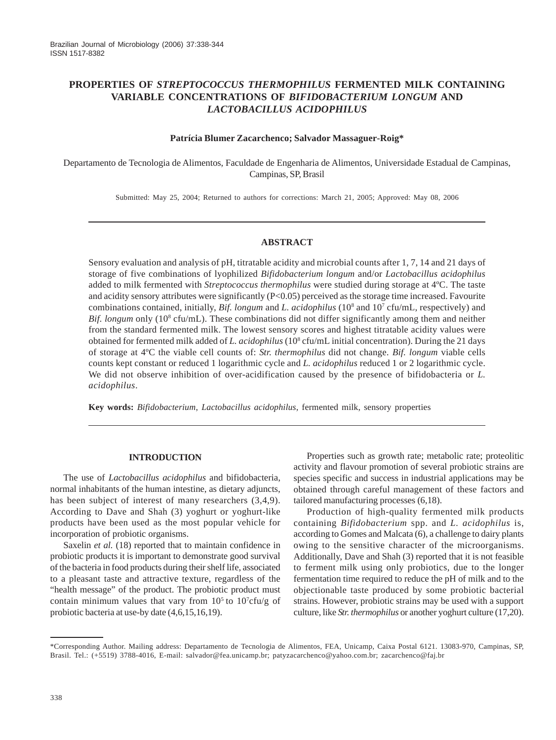# **PROPERTIES OF** *STREPTOCOCCUS THERMOPHILUS* **FERMENTED MILK CONTAINING VARIABLE CONCENTRATIONS OF** *BIFIDOBACTERIUM LONGUM* **AND** *LACTOBACILLUS ACIDOPHILUS*

### **Patrícia Blumer Zacarchenco; Salvador Massaguer-Roig\***

Departamento de Tecnologia de Alimentos, Faculdade de Engenharia de Alimentos, Universidade Estadual de Campinas, Campinas, SP, Brasil

Submitted: May 25, 2004; Returned to authors for corrections: March 21, 2005; Approved: May 08, 2006

### **ABSTRACT**

Sensory evaluation and analysis of pH, titratable acidity and microbial counts after 1, 7, 14 and 21 days of storage of five combinations of lyophilized *Bifidobacterium longum* and/or *Lactobacillus acidophilus* added to milk fermented with *Streptococcus thermophilus* were studied during storage at 4ºC. The taste and acidity sensory attributes were significantly  $(P< 0.05)$  perceived as the storage time increased. Favourite combinations contained, initially, *Bif. longum* and *L. acidophilus* (10<sup>8</sup> and 10<sup>7</sup> cfu/mL, respectively) and Bif. longum only (10<sup>8</sup> cfu/mL). These combinations did not differ significantly among them and neither from the standard fermented milk. The lowest sensory scores and highest titratable acidity values were obtained for fermented milk added of *L. acidophilus* (108 cfu/mL initial concentration). During the 21 days of storage at 4ºC the viable cell counts of: *Str. thermophilus* did not change. *Bif. longum* viable cells counts kept constant or reduced 1 logarithmic cycle and *L. acidophilus* reduced 1 or 2 logarithmic cycle. We did not observe inhibition of over-acidification caused by the presence of bifidobacteria or *L. acidophilus*.

**Key words:** *Bifidobacterium*, *Lactobacillus acidophilus*, fermented milk, sensory properties

## **INTRODUCTION**

The use of *Lactobacillus acidophilus* and bifidobacteria, normal inhabitants of the human intestine, as dietary adjuncts, has been subject of interest of many researchers  $(3,4,9)$ . According to Dave and Shah (3) yoghurt or yoghurt-like products have been used as the most popular vehicle for incorporation of probiotic organisms.

Saxelin *et al.* (18) reported that to maintain confidence in probiotic products it is important to demonstrate good survival of the bacteria in food products during their shelf life, associated to a pleasant taste and attractive texture, regardless of the "health message" of the product. The probiotic product must contain minimum values that vary from  $10^5$  to  $10^7$ cfu/g of probiotic bacteria at use-by date (4,6,15,16,19).

Properties such as growth rate; metabolic rate; proteolitic activity and flavour promotion of several probiotic strains are species specific and success in industrial applications may be obtained through careful management of these factors and tailored manufacturing processes (6,18).

Production of high-quality fermented milk products containing *Bifidobacterium* spp. and *L. acidophilus* is, according to Gomes and Malcata (6), a challenge to dairy plants owing to the sensitive character of the microorganisms. Additionally, Dave and Shah (3) reported that it is not feasible to ferment milk using only probiotics, due to the longer fermentation time required to reduce the pH of milk and to the objectionable taste produced by some probiotic bacterial strains. However, probiotic strains may be used with a support culture, like *Str. thermophilus* or another yoghurt culture (17,20).

<sup>\*</sup>Corresponding Author. Mailing address: Departamento de Tecnologia de Alimentos, FEA, Unicamp, Caixa Postal 6121. 13083-970, Campinas, SP, Brasil. Tel.: (+5519) 3788-4016, E-mail: salvador@fea.unicamp.br; patyzacarchenco@yahoo.com.br; zacarchenco@faj.br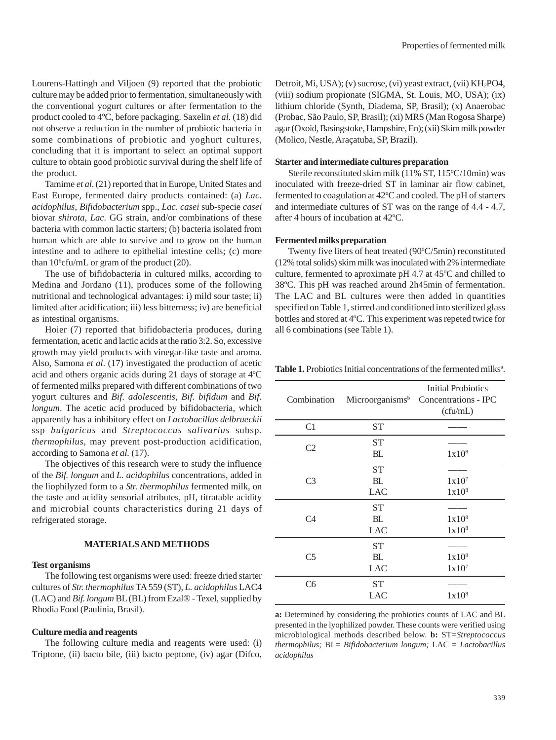Lourens-Hattingh and Viljoen (9) reported that the probiotic culture may be added prior to fermentation, simultaneously with the conventional yogurt cultures or after fermentation to the product cooled to 4ºC, before packaging. Saxelin *et al.* (18) did not observe a reduction in the number of probiotic bacteria in some combinations of probiotic and yoghurt cultures, concluding that it is important to select an optimal support culture to obtain good probiotic survival during the shelf life of the product.

Tamime *et al*. (21) reported that in Europe, United States and East Europe, fermented dairy products contained: (a) *Lac. acidophilus*, *Bifidobacterium* spp., *Lac. casei* sub-specie *casei* biovar *shirota*, *Lac.* GG strain, and/or combinations of these bacteria with common lactic starters; (b) bacteria isolated from human which are able to survive and to grow on the human intestine and to adhere to epithelial intestine cells; (c) more than  $10^6$ cfu/mL or gram of the product (20).

The use of bifidobacteria in cultured milks, according to Medina and Jordano (11), produces some of the following nutritional and technological advantages: i) mild sour taste; ii) limited after acidification; iii) less bitterness; iv) are beneficial as intestinal organisms.

Hoier (7) reported that bifidobacteria produces, during fermentation, acetic and lactic acids at the ratio 3:2. So, excessive growth may yield products with vinegar-like taste and aroma. Also, Samona *et al*. (17) investigated the production of acetic acid and others organic acids during 21 days of storage at 4ºC of fermented milks prepared with different combinations of two yogurt cultures and *Bif. adolescentis*, *Bif. bifidum* and *Bif. longum*. The acetic acid produced by bifidobacteria, which apparently has a inhibitory effect on *Lactobacillus delbrueckii* ssp *bulgaricus* and *Streptococcus salivarius* subsp. *thermophilus,* may prevent post-production acidification, according to Samona *et al.* (17).

The objectives of this research were to study the influence of the *Bif. longum* and *L. acidophilus* concentrations, added in the liophilyzed form to a *Str. thermophilus* fermented milk, on the taste and acidity sensorial atributes, pH, titratable acidity and microbial counts characteristics during 21 days of refrigerated storage.

#### **MATERIALS AND METHODS**

#### **Test organisms**

The following test organisms were used: freeze dried starter cultures of *Str. thermophilus* TA 559 (ST), *L. acidophilus* LAC4 (LAC) and *Bif. longum* BL (BL) from Ezal® - Texel, supplied by Rhodia Food (Paulínia, Brasil).

### **Culture media and reagents**

The following culture media and reagents were used: (i) Triptone, (ii) bacto bile, (iii) bacto peptone, (iv) agar (Difco, Detroit, Mi, USA); (v) sucrose, (vi) yeast extract, (vii) KH<sub>2</sub>PO4, (viii) sodium propionate (SIGMA, St. Louis, MO, USA); (ix) lithium chloride (Synth, Diadema, SP, Brasil); (x) Anaerobac (Probac, São Paulo, SP, Brasil); (xi) MRS (Man Rogosa Sharpe) agar (Oxoid, Basingstoke, Hampshire, En); (xii) Skim milk powder (Molico, Nestle, Araçatuba, SP, Brazil).

### **Starter and intermediate cultures preparation**

Sterile reconstituted skim milk (11% ST, 115ºC/10min) was inoculated with freeze-dried ST in laminar air flow cabinet, fermented to coagulation at 42ºC and cooled. The pH of starters and intermediate cultures of ST was on the range of 4.4 - 4.7, after 4 hours of incubation at 42ºC.

### **Fermented milks preparation**

Twenty five liters of heat treated (90ºC/5min) reconstituted (12% total solids) skim milk was inoculated with 2% intermediate culture, fermented to aproximate pH 4.7 at 45ºC and chilled to 38ºC. This pH was reached around 2h45min of fermentation. The LAC and BL cultures were then added in quantities specified on Table 1, stirred and conditioned into sterilized glass bottles and stored at 4ºC. This experiment was repeted twice for all 6 combinations (see Table 1).

| Combination    |                               | <b>Initial Probiotics</b><br>Microorganisms <sup>b</sup> Concentrations - IPC<br>(cfu/mL) |  |  |
|----------------|-------------------------------|-------------------------------------------------------------------------------------------|--|--|
| C1             | <b>ST</b>                     |                                                                                           |  |  |
| C <sub>2</sub> | <b>ST</b><br>BL               | 1x10 <sup>8</sup>                                                                         |  |  |
| C3             | <b>ST</b><br>BL<br>LAC        | 1x10 <sup>7</sup><br>1x10 <sup>8</sup>                                                    |  |  |
| C4             | <b>ST</b><br>BL<br><b>LAC</b> | 1x10 <sup>8</sup><br>1x10 <sup>8</sup>                                                    |  |  |
| C <sub>5</sub> | <b>ST</b><br>BL<br><b>LAC</b> | 1x10 <sup>8</sup><br>1x10 <sup>7</sup>                                                    |  |  |
| C <sub>6</sub> | <b>ST</b><br><b>LAC</b>       | 1x10 <sup>8</sup>                                                                         |  |  |

Table 1. Probiotics Initial concentrations of the fermented milks<sup>a</sup>.

**a:** Determined by considering the probiotics counts of LAC and BL presented in the lyophilized powder. These counts were verified using microbiological methods described below. **b:** ST=*Streptococcus thermophilus;* BL= *Bifidobacterium longum;* LAC = *Lactobacillus acidophilus*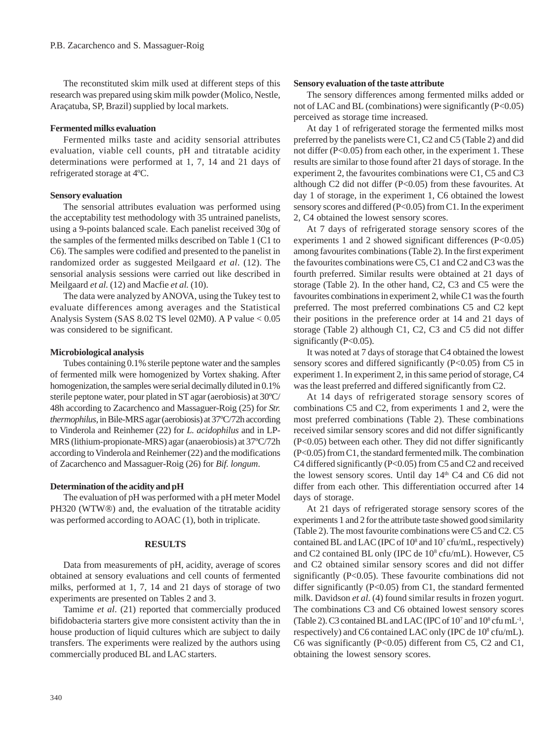The reconstituted skim milk used at different steps of this research was prepared using skim milk powder (Molico, Nestle, Araçatuba, SP, Brazil) supplied by local markets.

#### **Fermented milks evaluation**

Fermented milks taste and acidity sensorial attributes evaluation, viable cell counts, pH and titratable acidity determinations were performed at 1, 7, 14 and 21 days of refrigerated storage at 4ºC.

#### **Sensory evaluation**

The sensorial attributes evaluation was performed using the acceptability test methodology with 35 untrained panelists, using a 9-points balanced scale. Each panelist received 30g of the samples of the fermented milks described on Table 1 (C1 to C6). The samples were codified and presented to the panelist in randomized order as suggested Meilgaard *et al*. (12). The sensorial analysis sessions were carried out like described in Meilgaard *et al.* (12) and Macfie *et al.* (10).

The data were analyzed by ANOVA, using the Tukey test to evaluate differences among averages and the Statistical Analysis System (SAS 8.02 TS level 02M0). A P value < 0.05 was considered to be significant.

#### **Microbiological analysis**

Tubes containing 0.1% sterile peptone water and the samples of fermented milk were homogenized by Vortex shaking. After homogenization, the samples were serial decimally diluted in 0.1% sterile peptone water, pour plated in ST agar (aerobiosis) at 30ºC/ 48h according to Zacarchenco and Massaguer-Roig (25) for *Str. thermophilus*, in Bile-MRS agar (aerobiosis) at 37ºC/72h according to Vinderola and Reinhemer (22) for *L. acidophilus* and in LP-MRS (lithium-propionate-MRS) agar (anaerobiosis) at 37ºC/72h according to Vinderola and Reinhemer (22) and the modifications of Zacarchenco and Massaguer-Roig (26) for *Bif. longum*.

### **Determination of the acidity and pH**

The evaluation of pH was performed with a pH meter Model PH320 (WTW®) and, the evaluation of the titratable acidity was performed according to AOAC (1), both in triplicate.

#### **RESULTS**

Data from measurements of pH, acidity, average of scores obtained at sensory evaluations and cell counts of fermented milks, performed at 1, 7, 14 and 21 days of storage of two experiments are presented on Tables 2 and 3.

Tamime *et al*. (21) reported that commercially produced bifidobacteria starters give more consistent activity than the in house production of liquid cultures which are subject to daily transfers. The experiments were realized by the authors using commercially produced BL and LAC starters.

### **Sensory evaluation of the taste attribute**

The sensory differences among fermented milks added or not of LAC and BL (combinations) were significantly  $(P<0.05)$ perceived as storage time increased.

At day 1 of refrigerated storage the fermented milks most preferred by the panelists were C1, C2 and C5 (Table 2) and did not differ (P<0.05) from each other, in the experiment 1. These results are similar to those found after 21 days of storage. In the experiment 2, the favourites combinations were C1, C5 and C3 although C2 did not differ (P<0.05) from these favourites. At day 1 of storage, in the experiment 1, C6 obtained the lowest sensory scores and differed (P<0.05) from C1. In the experiment 2, C4 obtained the lowest sensory scores.

At 7 days of refrigerated storage sensory scores of the experiments 1 and 2 showed significant differences (P<0.05) among favourites combinations (Table 2). In the first experiment the favourites combinations were C5, C1 and C2 and C3 was the fourth preferred. Similar results were obtained at 21 days of storage (Table 2). In the other hand, C2, C3 and C5 were the favourites combinations in experiment 2, while C1 was the fourth preferred. The most preferred combinations C5 and C2 kept their positions in the preference order at 14 and 21 days of storage (Table 2) although C1, C2, C3 and C5 did not differ significantly (P<0.05).

It was noted at 7 days of storage that C4 obtained the lowest sensory scores and differed significantly (P<0.05) from C5 in experiment 1. In experiment 2, in this same period of storage, C4 was the least preferred and differed significantly from C2.

At 14 days of refrigerated storage sensory scores of combinations C5 and C2, from experiments 1 and 2, were the most preferred combinations (Table 2). These combinations received similar sensory scores and did not differ significantly (P<0.05) between each other. They did not differ significantly (P<0.05) from C1, the standard fermented milk. The combination C4 differed significantly (P<0.05) from C5 and C2 and received the lowest sensory scores. Until day 14<sup>th</sup> C4 and C6 did not differ from each other. This differentiation occurred after 14 days of storage.

At 21 days of refrigerated storage sensory scores of the experiments 1 and 2 for the attribute taste showed good similarity (Table 2). The most favourite combinations were C5 and C2. C5 contained BL and LAC (IPC of 10<sup>8</sup> and 10<sup>7</sup> cfu/mL, respectively) and C2 contained BL only (IPC de 10<sup>8</sup> cfu/mL). However, C5 and C2 obtained similar sensory scores and did not differ significantly (P<0.05). These favourite combinations did not differ significantly (P<0.05) from C1, the standard fermented milk. Davidson *et al*. (4) found similar results in frozen yogurt. The combinations C3 and C6 obtained lowest sensory scores (Table 2). C3 contained BL and LAC (IPC of  $10<sup>7</sup>$  and  $10<sup>8</sup>$  cfu mL<sup>1</sup>, respectively) and C6 contained LAC only (IPC de 10<sup>8</sup> cfu/mL). C6 was significantly (P<0.05) different from C5, C2 and C1, obtaining the lowest sensory scores.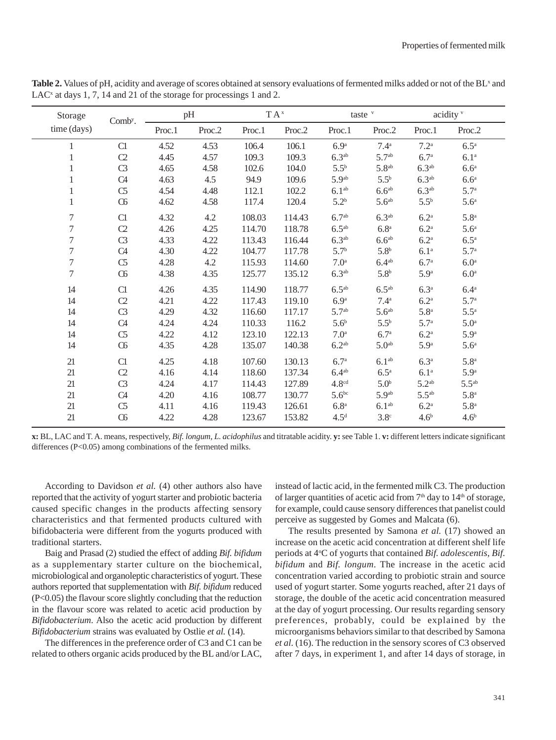| Storage          | Comb <sup>y</sup> . |        | pH     |        | $TA^x$ |                   | taste $v$          |                    | acidity v          |  |
|------------------|---------------------|--------|--------|--------|--------|-------------------|--------------------|--------------------|--------------------|--|
| time (days)      |                     | Proc.1 | Proc.2 | Proc.1 | Proc.2 | Proc.1            | Proc.2             | Proc.1             | Proc.2             |  |
| 1                | C1                  | 4.52   | 4.53   | 106.4  | 106.1  | 6.9 <sup>a</sup>  | $7.4^{a}$          | 7.2 <sup>a</sup>   | $6.5^{\mathrm{a}}$ |  |
| $\mathbf{1}$     | C <sub>2</sub>      | 4.45   | 4.57   | 109.3  | 109.3  | 6.3 <sup>ab</sup> | 5.7 <sup>ab</sup>  | 6.7 <sup>a</sup>   | 6.1 <sup>a</sup>   |  |
| 1                | C <sub>3</sub>      | 4.65   | 4.58   | 102.6  | 104.0  | $5.5^b$           | $5.8^{ab}$         | 6.3 <sup>ab</sup>  | 6.6 <sup>a</sup>   |  |
| $\mathbf{1}$     | C4                  | 4.63   | 4.5    | 94.9   | 109.6  | 5.9 <sup>ab</sup> | $5.5^{\rm b}$      | 6.3 <sup>ab</sup>  | 6.6 <sup>a</sup>   |  |
| $\mathbf{1}$     | C <sub>5</sub>      | 4.54   | 4.48   | 112.1  | 102.2  | 6.1 <sup>ab</sup> | 6.6 <sup>ab</sup>  | 6.3 <sup>ab</sup>  | 5.7 <sup>a</sup>   |  |
| $\mathbf{1}$     | C6                  | 4.62   | 4.58   | 117.4  | 120.4  | 5.2 <sup>b</sup>  | 5.6 <sup>ab</sup>  | $5.5^{\rm b}$      | 5.6 <sup>a</sup>   |  |
| $\tau$           | C1                  | 4.32   | 4.2    | 108.03 | 114.43 | 6.7 <sup>ab</sup> | 6.3 <sup>ab</sup>  | $6.2^{\mathrm{a}}$ | 5.8 <sup>a</sup>   |  |
| $\boldsymbol{7}$ | C <sub>2</sub>      | 4.26   | 4.25   | 114.70 | 118.78 | $6.5^{ab}$        | $6.8^{\mathrm{a}}$ | $6.2\mathrm{^a}$   | 5.6 <sup>a</sup>   |  |
| $\boldsymbol{7}$ | C <sub>3</sub>      | 4.33   | 4.22   | 113.43 | 116.44 | 6.3 <sup>ab</sup> | 6.6 <sup>ab</sup>  | $6.2^{\mathrm{a}}$ | $6.5^{\mathrm{a}}$ |  |
| $\tau$           | C4                  | 4.30   | 4.22   | 104.77 | 117.78 | 5.7 <sup>b</sup>  | 5.8 <sup>b</sup>   | 6.1 <sup>a</sup>   | 5.7 <sup>a</sup>   |  |
| $\boldsymbol{7}$ | C <sub>5</sub>      | 4.28   | 4.2    | 115.93 | 114.60 | 7.0 <sup>a</sup>  | 6.4 <sup>ab</sup>  | 6.7 <sup>a</sup>   | 6.0 <sup>a</sup>   |  |
| $\tau$           | C6                  | 4.38   | 4.35   | 125.77 | 135.12 | 6.3 <sup>ab</sup> | 5.8 <sup>b</sup>   | 5.9 <sup>a</sup>   | 6.0 <sup>a</sup>   |  |
| 14               | C1                  | 4.26   | 4.35   | 114.90 | 118.77 | $6.5^{ab}$        | $6.5^{ab}$         | 6.3 <sup>a</sup>   | 6.4 <sup>a</sup>   |  |
| 14               | C <sub>2</sub>      | 4.21   | 4.22   | 117.43 | 119.10 | 6.9 <sup>a</sup>  | 7.4 <sup>a</sup>   | $6.2^{\mathrm{a}}$ | 5.7 <sup>a</sup>   |  |
| 14               | C <sub>3</sub>      | 4.29   | 4.32   | 116.60 | 117.17 | 5.7 <sup>ab</sup> | 5.6 <sup>ab</sup>  | 5.8 <sup>a</sup>   | $5.5^{\mathrm{a}}$ |  |
| 14               | C4                  | 4.24   | 4.24   | 110.33 | 116.2  | 5.6 <sup>b</sup>  | $5.5^{b}$          | 5.7 <sup>a</sup>   | 5.0 <sup>a</sup>   |  |
| 14               | C <sub>5</sub>      | 4.22   | 4.12   | 123.10 | 122.13 | 7.0 <sup>a</sup>  | 6.7 <sup>a</sup>   | $6.2^{\mathrm{a}}$ | 5.9 <sup>a</sup>   |  |
| 14               | $\alpha$            | 4.35   | 4.28   | 135.07 | 140.38 | $6.2^{ab}$        | 5.0 <sup>ab</sup>  | 5.9 <sup>a</sup>   | 5.6 <sup>a</sup>   |  |
| 21               | C1                  | 4.25   | 4.18   | 107.60 | 130.13 | 6.7 <sup>a</sup>  | 6.1 <sup>ab</sup>  | 6.3 <sup>a</sup>   | 5.8 <sup>a</sup>   |  |
| 21               | C <sub>2</sub>      | 4.16   | 4.14   | 118.60 | 137.34 | 6.4 <sup>ab</sup> | $6.5^{\mathrm{a}}$ | 6.1 <sup>a</sup>   | 5.9 <sup>a</sup>   |  |
| 21               | C <sub>3</sub>      | 4.24   | 4.17   | 114.43 | 127.89 | 4.8 <sup>cd</sup> | 5.0 <sup>b</sup>   | $5.2^{ab}$         | $5.5^{ab}$         |  |
| 21               | C4                  | 4.20   | 4.16   | 108.77 | 130.77 | $5.6^{bc}$        | 5.9 <sup>ab</sup>  | $5.5^{ab}$         | 5.8 <sup>a</sup>   |  |
| 21               | C <sub>5</sub>      | 4.11   | 4.16   | 119.43 | 126.61 | 6.8 <sup>a</sup>  | 6.1 <sup>ab</sup>  | $6.2^{\mathrm{a}}$ | 5.8 <sup>a</sup>   |  |
| 21               | C6                  | 4.22   | 4.28   | 123.67 | 153.82 | 4.5 <sup>d</sup>  | 3.8 <sup>c</sup>   | 4.6 <sup>b</sup>   | 4.6 <sup>b</sup>   |  |

Table 2. Values of pH, acidity and average of scores obtained at sensory evaluations of fermented milks added or not of the BL<sup>x</sup> and LAC<sup>x</sup> at days 1, 7, 14 and 21 of the storage for processings 1 and 2.

**x:** BL, LAC and T. A. means, respectively, *Bif. longum*, *L. acidophilus* and titratable acidity. **y:** see Table 1. **v:** different letters indicate significant differences (P<0.05) among combinations of the fermented milks.

According to Davidson *et al.* (4) other authors also have reported that the activity of yogurt starter and probiotic bacteria caused specific changes in the products affecting sensory characteristics and that fermented products cultured with bifidobacteria were different from the yogurts produced with traditional starters.

Baig and Prasad (2) studied the effect of adding *Bif. bifidum* as a supplementary starter culture on the biochemical, microbiological and organoleptic characteristics of yogurt. These authors reported that supplementation with *Bif. bifidum* reduced (P<0.05) the flavour score slightly concluding that the reduction in the flavour score was related to acetic acid production by *Bifidobacterium*. Also the acetic acid production by different *Bifidobacterium* strains was evaluated by Ostlie *et al.* (14).

The differences in the preference order of C3 and C1 can be related to others organic acids produced by the BL and/or LAC,

instead of lactic acid, in the fermented milk C3. The production of larger quantities of acetic acid from  $7<sup>th</sup>$  day to  $14<sup>th</sup>$  of storage, for example, could cause sensory differences that panelist could perceive as suggested by Gomes and Malcata (6).

The results presented by Samona *et al.* (17) showed an increase on the acetic acid concentration at different shelf life periods at 4°C of yogurts that contained *Bif. adolescentis*, *Bif. bifidum* and *Bif. longum*. The increase in the acetic acid concentration varied according to probiotic strain and source used of yogurt starter. Some yogurts reached, after 21 days of storage, the double of the acetic acid concentration measured at the day of yogurt processing. Our results regarding sensory preferences, probably, could be explained by the microorganisms behaviors similar to that described by Samona *et al.* (16). The reduction in the sensory scores of C3 observed after 7 days, in experiment 1, and after 14 days of storage, in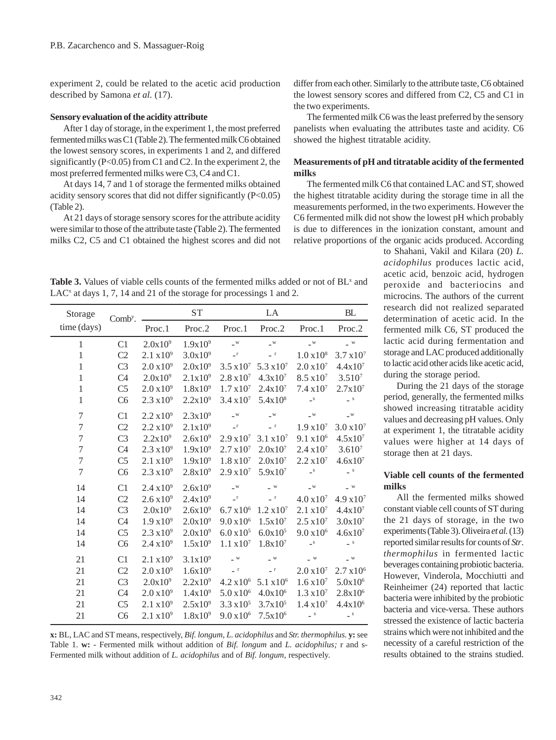experiment 2, could be related to the acetic acid production described by Samona *et al.* (17).

### **Sensory evaluation of the acidity attribute**

After 1 day of storage, in the experiment 1, the most preferred fermented milks was C1 (Table 2). The fermented milk C6 obtained the lowest sensory scores, in experiments 1 and 2, and differed significantly (P<0.05) from C1 and C2. In the experiment 2, the most preferred fermented milks were C3, C4 and C1.

At days 14, 7 and 1 of storage the fermented milks obtained acidity sensory scores that did not differ significantly (P<0.05) (Table 2).

At 21 days of storage sensory scores for the attribute acidity were similar to those of the attribute taste (Table 2). The fermented milks C2, C5 and C1 obtained the highest scores and did not

Table 3. Values of viable cells counts of the fermented milks added or not of BL<sup>x</sup> and LAC<sup>x</sup> at days 1, 7, 14 and 21 of the storage for processings 1 and 2.

| Storage          | Comb <sup>y</sup> . |                       | ${\cal S}{\cal T}$ | ${\rm LA}$            |                              |                          | BL                                                            |
|------------------|---------------------|-----------------------|--------------------|-----------------------|------------------------------|--------------------------|---------------------------------------------------------------|
| time (days)      |                     | Proc.1                | Proc.2             | Proc.1                | Proc.2                       | Proc.1                   | Proc.2                                                        |
| $\mathbf{1}$     | C <sub>1</sub>      | $2.0x10^9$            | $1.9x10^{9}$       | $\_^{\rm W}$          | $\_^{\rm w}$                 | $\_^{\rm W}$             | $\_$ $^{\rm{w}}$                                              |
| $\,1$            | C <sub>2</sub>      | 2.1 x 10 <sup>9</sup> | $3.0x10^{9}$       | $\_^{\rm r}$          | $\_$ r                       | 1.0 x 10 <sup>8</sup>    | $3.7 \times 10^{7}$                                           |
| $\mathbf{1}$     | C <sub>3</sub>      | $2.0 x 10^9$          | $2.0x10^9$         | $3.5 \times 10^{7}$   | $5.3 \times 10^7$            | $2.0\times10^7$          | 4.4x10 <sup>7</sup>                                           |
| $\mathbf{1}$     | C <sub>4</sub>      | $2.0x10^9$            | $2.1x10^9$         | $2.8 \times 10^7$     | $4.3x10^{7}$                 | $8.5 \times 10^7$        | $3.510^{7}$                                                   |
| $\mathbf{1}$     | C <sub>5</sub>      | $2.0 x 10^9$          | $1.8x10^{9}$       | $1.7 \times 10^7$     | $2.4x10^{7}$                 | $7.4 \times 10^7$        | 2.7x10 <sup>7</sup>                                           |
| $\mathbf{1}$     | C <sub>6</sub>      | $2.3 \times 10^{9}$   | $2.2x10^9$         | $3.4 \times 10^{7}$   | $5.4x10^{8}$                 | $\_$ $\mathbf{S}$        | $\hspace{-.05in} -$ s                                         |
| $\tau$           | C1                  | $2.2 \times 10^{9}$   | $2.3x10^9$         | $\_^{\rm W}$          | $\_^{\rm W}$                 | $\_$ $\mathbf{w}$        | $\_$ $\leq$                                                   |
| $\boldsymbol{7}$ | C <sub>2</sub>      | $2.2 \times 10^9$     | $2.1x10^9$         | $\_^{\Gamma}$         | $\_$ r                       | $1.9 \times 10^7$        | $3.0 x 10^{7}$                                                |
| $\overline{7}$   | C <sub>3</sub>      | $2.2x10^9$            | $2.6x10^{9}$       | 2.9 x 10 <sup>7</sup> | 3.1 x 10 <sup>7</sup>        | 9.1 x 10 <sup>6</sup>    | $4.5x10^{7}$                                                  |
| $\boldsymbol{7}$ | C <sub>4</sub>      | $2.3 \times 10^{9}$   | $1.9x10^{9}$       | $2.7 \times 10^7$     | $2.0x10^{7}$                 | $2.4 \times 10^7$        | $3.610^{7}$                                                   |
| $\boldsymbol{7}$ | C <sub>5</sub>      | 2.1 x 10 <sup>9</sup> | $1.9x10^{9}$       | $1.8\,\mathrm{x}10^7$ | $2.0x10^{7}$                 | $2.2 \times 10^7$        | $4.6x10^{7}$                                                  |
| $\overline{7}$   | C <sub>6</sub>      | $2.3 \times 10^{9}$   | $2.8x10^9$         | $2.9 x 10^{7}$        | $5.9x10^{7}$                 | $\_$ $\mathbf{S}$        | $\hspace{0.1cm} \rule{0.7cm}{0.1cm} \hspace{0.1cm} \bullet$ s |
| 14               | C1                  | $2.4 \times 10^{9}$   | $2.6x10^{9}$       | $\_^{\rm W}$          | $\_$ $\,$ $\,$ $\,$          | $\_^{\rm W}$             | $ ^{\mathrm{w}}$                                              |
| 14               | C2                  | $2.6 x 10^9$          | $2.4x10^9$         | $\_^{\Gamma}$         | $ ^{\rm r}$                  | 4.0 x 10 <sup>7</sup>    | 4.9 x10 <sup>7</sup>                                          |
| 14               | C <sub>3</sub>      | $2.0x10^9$            | $2.6x10^{9}$       | $6.7 \times 10^6$     | 1.2 x 10 <sup>7</sup>        | 2.1 x 10 <sup>7</sup>    | 4.4x10 <sup>7</sup>                                           |
| 14               | C4                  | 1.9 x 10 <sup>9</sup> | $2.0x10^9$         | $9.0 x 10^6$          | $1.5x10^{7}$                 | $2.5 \times 10^7$        | $3.0x10^{7}$                                                  |
| 14               | C <sub>5</sub>      | $2.3 \times 10^{9}$   | $2.0x10^9$         | $6.0 x 10^5$          | $6.0x10^{5}$                 | $9.0 x 10^6$             | $4.6x10^{7}$                                                  |
| 14               | C <sub>6</sub>      | $2.4 \times 10^{9}$   | $1.5x10^{9}$       | $1.1 \times 10^7$     | $1.8x10^{7}$                 | $\_^{\mathrm{S}}$        | $\hspace{0.1cm} \rule{0.7cm}{0.1cm} \hspace{0.1cm} \bullet$ s |
| 21               | C1                  | 2.1 x 10 <sup>9</sup> | $3.1x10^{9}$       | $\sim$ $^{\rm w}$     | $\_$ $\ensuremath{\text{w}}$ | $\_$ $^{\mathrm{w}}$     | $\_$ $^{\mathrm{w}}$                                          |
| 21               | C2                  | 2.0 x 10 <sup>9</sup> | $1.6x10^{9}$       | $ ^{\rm r}$           | $ ^{\rm r}$                  | $2.0 x 10^{7}$           | $2.7 \times 10^6$                                             |
| 21               | C <sub>3</sub>      | $2.0x10^9$            | $2.2x10^9$         | 4.2 x 10 <sup>6</sup> | $5.1 \times 10^6$            | $1.6 \, \mathrm{x} 10^7$ | $5.0x10^{6}$                                                  |
| 21               | C4                  | $2.0 x 10^9$          | $1.4x10^{9}$       | $5.0 x 10^6$          | $4.0x10^6$                   | $1.3 \times 10^7$        | 2.8x10 <sup>6</sup>                                           |
| 21               | C <sub>5</sub>      | 2.1 x 10 <sup>9</sup> | $2.5x10^9$         | $3.3 \times 10^{5}$   | $3.7x10^{5}$                 | $1.4 \times 10^7$        | 4.4x10 <sup>6</sup>                                           |
| 21               | C <sub>6</sub>      | 2.1 x 10 <sup>9</sup> | $1.8x10^{9}$       | $9.0 x 10^6$          | $7.5x10^{6}$                 | $\equiv$ $^{\mathrm{S}}$ | $\overline{\phantom{a}}^S$                                    |
|                  |                     |                       |                    |                       |                              |                          |                                                               |

**x:** BL, LAC and ST means, respectively, *Bif. longum*, *L. acidophilus* and *Str. thermophilus.* **y:** see Table 1. **w:** - Fermented milk without addition of *Bif. longum* and *L. acidophilus;* r and s-Fermented milk without addition of *L. acidophilus* and of *Bif. longum*, respectively.

differ from each other. Similarly to the attribute taste, C6 obtained the lowest sensory scores and differed from C2, C5 and C1 in the two experiments.

The fermented milk C6 was the least preferred by the sensory panelists when evaluating the attributes taste and acidity. C6 showed the highest titratable acidity.

## **Measurements of pH and titratable acidity of the fermented milks**

The fermented milk C6 that contained LAC and ST, showed the highest titratable acidity during the storage time in all the measurements performed, in the two experiments. However the C6 fermented milk did not show the lowest pH which probably is due to differences in the ionization constant, amount and relative proportions of the organic acids produced. According

> to Shahani, Vakil and Kilara (20) *L. acidophilus* produces lactic acid, acetic acid, benzoic acid, hydrogen peroxide and bacteriocins and microcins. The authors of the current research did not realized separated determination of acetic acid. In the fermented milk C6, ST produced the lactic acid during fermentation and storage and LAC produced additionally to lactic acid other acids like acetic acid, during the storage period.

> During the 21 days of the storage period, generally, the fermented milks showed increasing titratable acidity values and decreasing pH values. Only at experiment 1, the titratable acidity values were higher at 14 days of storage then at 21 days.

## **Viable cell counts of the fermented milks**

All the fermented milks showed constant viable cell counts of ST during the 21 days of storage, in the two experiments (Table 3). Oliveira *et al.* (13) reported similar results for counts of *Str*. *thermophilus* in fermented lactic beverages containing probiotic bacteria. However, Vinderola, Mocchiutti and Reinheimer (24) reported that lactic bacteria were inhibited by the probiotic bacteria and vice-versa. These authors stressed the existence of lactic bacteria strains which were not inhibited and the necessity of a careful restriction of the results obtained to the strains studied.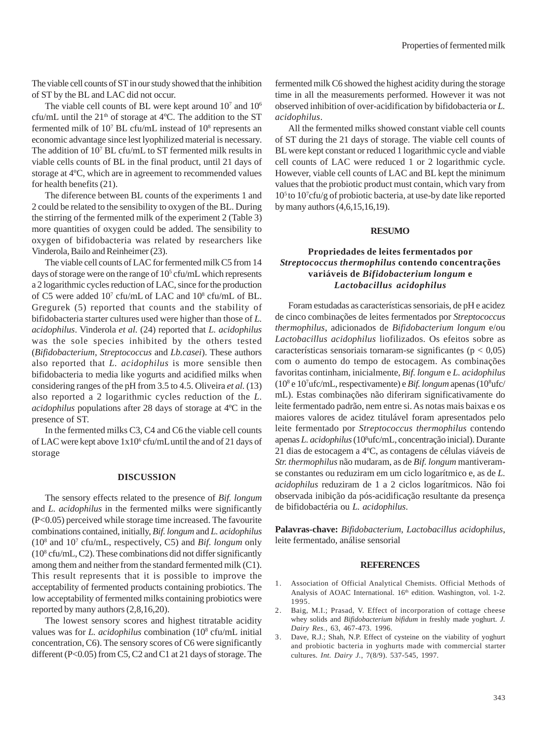The viable cell counts of ST in our study showed that the inhibition of ST by the BL and LAC did not occur.

The viable cell counts of BL were kept around  $10<sup>7</sup>$  and  $10<sup>6</sup>$ cfu/mL until the  $21<sup>th</sup>$  of storage at 4°C. The addition to the ST fermented milk of 10<sup>7</sup> BL cfu/mL instead of 10<sup>8</sup> represents an economic advantage since lest lyophilized material is necessary. The addition of 107 BL cfu/mL to ST fermented milk results in viable cells counts of BL in the final product, until 21 days of storage at 4ºC, which are in agreement to recommended values for health benefits (21).

The diference between BL counts of the experiments 1 and 2 could be related to the sensibility to oxygen of the BL. During the stirring of the fermented milk of the experiment 2 (Table 3) more quantities of oxygen could be added. The sensibility to oxygen of bifidobacteria was related by researchers like Vinderola, Bailo and Reinheimer (23).

The viable cell counts of LAC for fermented milk C5 from 14 days of storage were on the range of  $10<sup>5</sup>$  cfu/mL which represents a 2 logarithmic cycles reduction of LAC, since for the production of C5 were added  $10^7$  cfu/mL of LAC and  $10^8$  cfu/mL of BL. Gregurek (5) reported that counts and the stability of bifidobacteria starter cultures used were higher than those of *L. acidophilus*. Vinderola *et al.* (24) reported that *L. acidophilus* was the sole species inhibited by the others tested (*Bifidobacterium*, *Streptococcus* and *Lb.casei*). These authors also reported that *L. acidophilus* is more sensible then bifidobacteria to media like yogurts and acidified milks when considering ranges of the pH from 3.5 to 4.5. Oliveira *et al.* (13) also reported a 2 logarithmic cycles reduction of the *L. acidophilus* populations after 28 days of storage at 4ºC in the presence of ST.

In the fermented milks C3, C4 and C6 the viable cell counts of LAC were kept above  $1x10^6$  cfu/mL until the and of 21 days of storage

### **DISCUSSION**

The sensory effects related to the presence of *Bif. longum* and *L. acidophilus* in the fermented milks were significantly (P<0.05) perceived while storage time increased. The favourite combinations contained, initially, *Bif. longum* and *L. acidophilus* (108 and 107 cfu/mL, respectively, C5) and *Bif. longum* only  $(10<sup>8</sup>$  cfu/mL, C2). These combinations did not differ significantly among them and neither from the standard fermented milk (C1). This result represents that it is possible to improve the acceptability of fermented products containing probiotics. The low acceptability of fermented milks containing probiotics were reported by many authors (2,8,16,20).

The lowest sensory scores and highest titratable acidity values was for *L. acidophilus* combination (10<sup>8</sup> cfu/mL initial concentration, C6). The sensory scores of C6 were significantly different (P<0.05) from C5, C2 and C1 at 21 days of storage. The fermented milk C6 showed the highest acidity during the storage time in all the measurements performed. However it was not observed inhibition of over-acidification by bifidobacteria or *L. acidophilus*.

All the fermented milks showed constant viable cell counts of ST during the 21 days of storage. The viable cell counts of BL were kept constant or reduced 1 logarithmic cycle and viable cell counts of LAC were reduced 1 or 2 logarithmic cycle. However, viable cell counts of LAC and BL kept the minimum values that the probiotic product must contain, which vary from 105 to 107 cfu/g of probiotic bacteria, at use-by date like reported by many authors (4,6,15,16,19).

#### **RESUMO**

## **Propriedades de leites fermentados por** *Streptococcus thermophilus* **contendo concentrações variáveis de** *Bifidobacterium longum* **e** *Lactobacillus acidophilus*

Foram estudadas as características sensoriais, de pH e acidez de cinco combinações de leites fermentados por *Streptococcus thermophilus*, adicionados de *Bifidobacterium longum* e/ou *Lactobacillus acidophilus* liofilizados. Os efeitos sobre as características sensoriais tornaram-se significantes ( $p < 0.05$ ) com o aumento do tempo de estocagem. As combinações favoritas continham, inicialmente, *Bif. longum* e *L. acidophilus* (108 e 107 ufc/mL, respectivamente) e *Bif. longum* apenas (108 ufc/ mL). Estas combinações não diferiram significativamente do leite fermentado padrão, nem entre si. As notas mais baixas e os maiores valores de acidez titulável foram apresentados pelo leite fermentado por *Streptococcus thermophilus* contendo apenas *L. acidophilus* (10<sup>8</sup>ufc/mL, concentração inicial). Durante 21 dias de estocagem a 4ºC, as contagens de células viáveis de *Str. thermophilus* não mudaram, as de *Bif. longum* mantiveramse constantes ou reduziram em um ciclo logarítmico e, as de *L. acidophilus* reduziram de 1 a 2 ciclos logarítmicos. Não foi observada inibição da pós-acidificação resultante da presença de bifidobactéria ou *L. acidophilus*.

**Palavras-chave:** *Bifidobacterium*, *Lactobacillus acidophilus*, leite fermentado, análise sensorial

#### **REFERENCES**

- 1. Association of Official Analytical Chemists. Official Methods of Analysis of AOAC International. 16<sup>th</sup> edition. Washington, vol. 1-2. 1995.
- 2. Baig, M.I.; Prasad, V. Effect of incorporation of cottage cheese whey solids and *Bifidobacterium bifidum* in freshly made yoghurt. *J. Dairy Res.*, 63, 467-473. 1996.
- 3. Dave, R.J.; Shah, N.P. Effect of cysteine on the viability of yoghurt and probiotic bacteria in yoghurts made with commercial starter cultures. *Int. Dairy J.*, 7(8/9). 537-545, 1997.